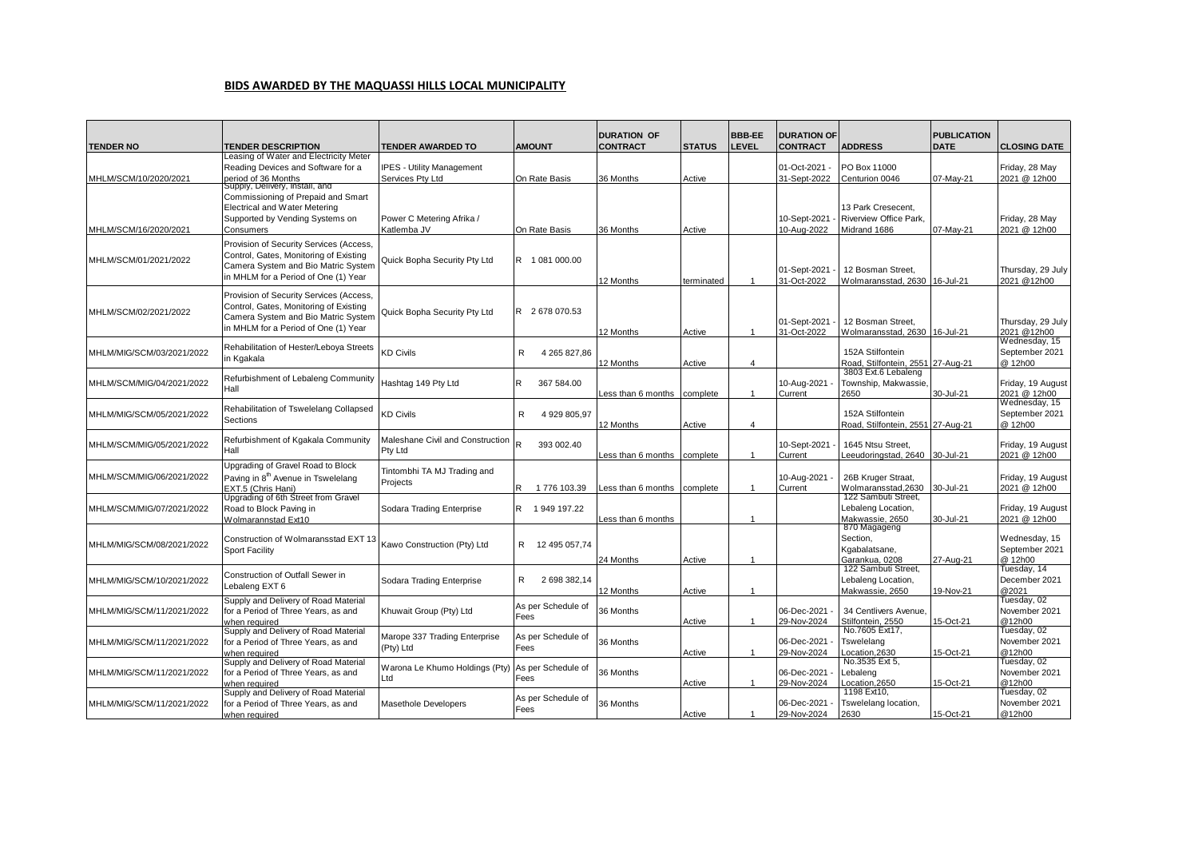## **BIDS AWARDED BY THE MAQUASSI HILLS LOCAL MUNICIPALITY**

|                           |                                                                                                                                                                  |                                                      |                            | <b>DURATION OF</b> |               | <b>BBB-EE</b>  | <b>DURATION OF</b>           |                                                              | <b>PUBLICATION</b> |                                            |
|---------------------------|------------------------------------------------------------------------------------------------------------------------------------------------------------------|------------------------------------------------------|----------------------------|--------------------|---------------|----------------|------------------------------|--------------------------------------------------------------|--------------------|--------------------------------------------|
| <b>TENDER NO</b>          | <b>TENDER DESCRIPTION</b>                                                                                                                                        | <b>TENDER AWARDED TO</b>                             | <b>AMOUNT</b>              | <b>CONTRACT</b>    | <b>STATUS</b> | <b>LEVEL</b>   | <b>CONTRACT</b>              | <b>ADDRESS</b>                                               | <b>DATE</b>        | <b>CLOSING DATE</b>                        |
| MHLM/SCM/10/2020/2021     | Leasing of Water and Electricity Meter<br>Reading Devices and Software for a<br>period of 36 Months                                                              | <b>IPES - Utility Management</b><br>Services Pty Ltd | On Rate Basis              | 36 Months          | Active        |                | 01-Oct-2021<br>31-Sept-2022  | PO Box 11000<br>Centurion 0046                               | 07-May-21          | Friday, 28 May<br>2021 @ 12h00             |
| MHLM/SCM/16/2020/2021     | Supply, Delivery, Install, and<br>Commissioning of Prepaid and Smart<br>Electrical and Water Metering<br>Supported by Vending Systems on<br>Consumers            | Power C Metering Afrika /<br>Katlemba JV             | On Rate Basis              | 36 Months          | Active        |                | 10-Sept-2021<br>10-Aug-2022  | 13 Park Cresecent.<br>Riverview Office Park.<br>Midrand 1686 | 07-May-21          | Friday, 28 May<br>2021 @ 12h00             |
| MHLM/SCM/01/2021/2022     | Provision of Security Services (Access,<br>Control, Gates, Monitoring of Existing<br>Camera System and Bio Matric System<br>in MHLM for a Period of One (1) Year | Quick Bopha Security Pty Ltd                         | R 1 081 000.00             | 12 Months          | terminated    |                | 01-Sept-2021<br>31-Oct-2022  | 12 Bosman Street.<br>Wolmaransstad, 2630 16-Jul-21           |                    | Thursday, 29 July<br>2021 @12h00           |
| MHLM/SCM/02/2021/2022     | Provision of Security Services (Access,<br>Control, Gates, Monitoring of Existing<br>Camera System and Bio Matric System<br>in MHLM for a Period of One (1) Year | Quick Bopha Security Pty Ltd                         | R 2678 070.53              | 12 Months          | Active        | $\overline{1}$ | 01-Sept-2021<br>31-Oct-2022  | 12 Bosman Street.<br>Wolmaransstad, 2630 16-Jul-21           |                    | Thursday, 29 July<br>2021 @12h00           |
| MHLM/MIG/SCM/03/2021/2022 | Rehabilitation of Hester/Leboya Streets<br>in Kgakala                                                                                                            | <b>KD Civils</b>                                     | R<br>4 265 827.86          | 12 Months          | Active        | 4              |                              | 152A Stilfontein<br>Road, Stilfontein, 2551 27-Aug-21        |                    | Wednesday, 15<br>September 2021<br>@ 12h00 |
| MHLM/SCM/MIG/04/2021/2022 | Refurbishment of Lebaleng Community<br>Hall                                                                                                                      | Hashtag 149 Pty Ltd                                  | R<br>367 584.00            | Less than 6 months | complete      | $\mathbf{1}$   | 10-Aug-2021 -<br>Current     | 3803 Ext.6 Lebaleng<br>Township, Makwassie,<br>2650          | 30-Jul-21          | Friday, 19 August<br>2021 @ 12h00          |
| MHLM/MIG/SCM/05/2021/2022 | Rehabilitation of Tswelelang Collapsed<br>Sections                                                                                                               | <b>KD Civils</b>                                     | R<br>4 929 805,97          | 12 Months          | Active        | 4              |                              | 152A Stilfontein<br>Road, Stilfontein, 2551 27-Aug-21        |                    | Wednesday, 15<br>September 2021<br>@ 12h00 |
| MHLM/SCM/MIG/05/2021/2022 | Refurbishment of Kgakala Community<br>Hall                                                                                                                       | Maleshane Civil and Construction<br>Pty Ltd          | 393 002.40                 | Less than 6 months | complete      | $\mathbf{1}$   | 10-Sept-2021<br>Current      | 1645 Ntsu Street,<br>eeudoringstad, 2640 30-Jul-21           |                    | Friday, 19 August<br>2021 @ 12h00          |
| MHLM/SCM/MIG/06/2021/2022 | Upgrading of Gravel Road to Block<br>Paving in 8 <sup>th</sup> Avenue in Tswelelang<br>EXT.5 (Chris Hani)                                                        | Tintombhi TA MJ Trading and<br>Projects              | 1776 103.39<br>R           | ess than 6 months  | complete      | $\overline{1}$ | 10-Aug-2021<br>Current       | 26B Kruger Straat,<br>Wolmaransstad,2630                     | 30-Jul-21          | Friday, 19 August<br>2021 @ 12h00          |
| MHLM/SCM/MIG/07/2021/2022 | Upgrading of 6th Street from Gravel<br>Road to Block Paving in<br>Wolmarannstad Ext10                                                                            | Sodara Trading Enterprise                            | R 1949 197.22              | Less than 6 months |               | $\overline{1}$ |                              | 122 Sambuti Street,<br>Lebaleng Location,<br>Makwassie, 2650 | 30-Jul-21          | Friday, 19 August<br>2021 @ 12h00          |
| MHLM/MIG/SCM/08/2021/2022 | Construction of Wolmaransstad EXT 13<br><b>Sport Facility</b>                                                                                                    | Kawo Construction (Pty) Ltd                          | R 12 495 057,74            | 24 Months          | Active        | $\overline{1}$ |                              | 870 Magageng<br>Section,<br>Kgabalatsane,<br>Garankua, 0208  | 27-Aug-21          | Wednesday, 15<br>September 2021<br>@ 12h00 |
| MHLM/MIG/SCM/10/2021/2022 | Construction of Outfall Sewer in<br>Lebaleng EXT 6                                                                                                               | Sodara Trading Enterprise                            | R<br>2 698 382.14          | 12 Months          | Active        | $\overline{1}$ |                              | 122 Sambuti Street,<br>Lebaleng Location,<br>Makwassie, 2650 | 19-Nov-21          | Tuesday, 14<br>December 2021<br>@2021      |
| MHLM/MIG/SCM/11/2021/2022 | Supply and Delivery of Road Material<br>for a Period of Three Years, as and<br>when required                                                                     | Khuwait Group (Pty) Ltd                              | As per Schedule of<br>Fees | 36 Months          | Active        | $\mathbf{1}$   | 06-Dec-2021<br>29-Nov-2024   | 34 Centlivers Avenue,<br>Stilfontein, 2550                   | 15-Oct-21          | Tuesday, 02<br>November 2021<br>@12h00     |
| MHLM/MIG/SCM/11/2021/2022 | Supply and Delivery of Road Materia<br>for a Period of Three Years, as and<br>when reauired                                                                      | Marope 337 Trading Enterprise<br>(Pty) Ltd           | As per Schedule of<br>Fees | 36 Months          | Active        | $\mathbf{1}$   | 06-Dec-2021<br>29-Nov-2024   | No.7605 Ext17,<br>Tswelelang<br>ocation,2630                 | 15-Oct-21          | Tuesday, 02<br>November 2021<br>@12h00     |
| MHLM/MIG/SCM/11/2021/2022 | Supply and Delivery of Road Material<br>for a Period of Three Years, as and<br>when reauired                                                                     | Warona Le Khumo Holdings (Pty)<br>Ltd                | As per Schedule of<br>Fees | 36 Months          | Active        | $\overline{1}$ | 06-Dec-2021<br>29-Nov-2024   | No.3535 Ext 5.<br>ebaleng<br>ocation,2650                    | 15-Oct-21          | Tuesday, 02<br>November 2021<br>@12h00     |
| MHLM/MIG/SCM/11/2021/2022 | Supply and Delivery of Road Material<br>for a Period of Three Years, as and<br>when required                                                                     | <b>Masethole Developers</b>                          | As per Schedule of<br>Fees | 36 Months          | Active        | $\mathbf{1}$   | 06-Dec-2021 -<br>29-Nov-2024 | 1198 Ext10,<br>Tswelelang location,<br>2630                  | 15-Oct-21          | Tuesday, 02<br>November 2021<br>@12h00     |